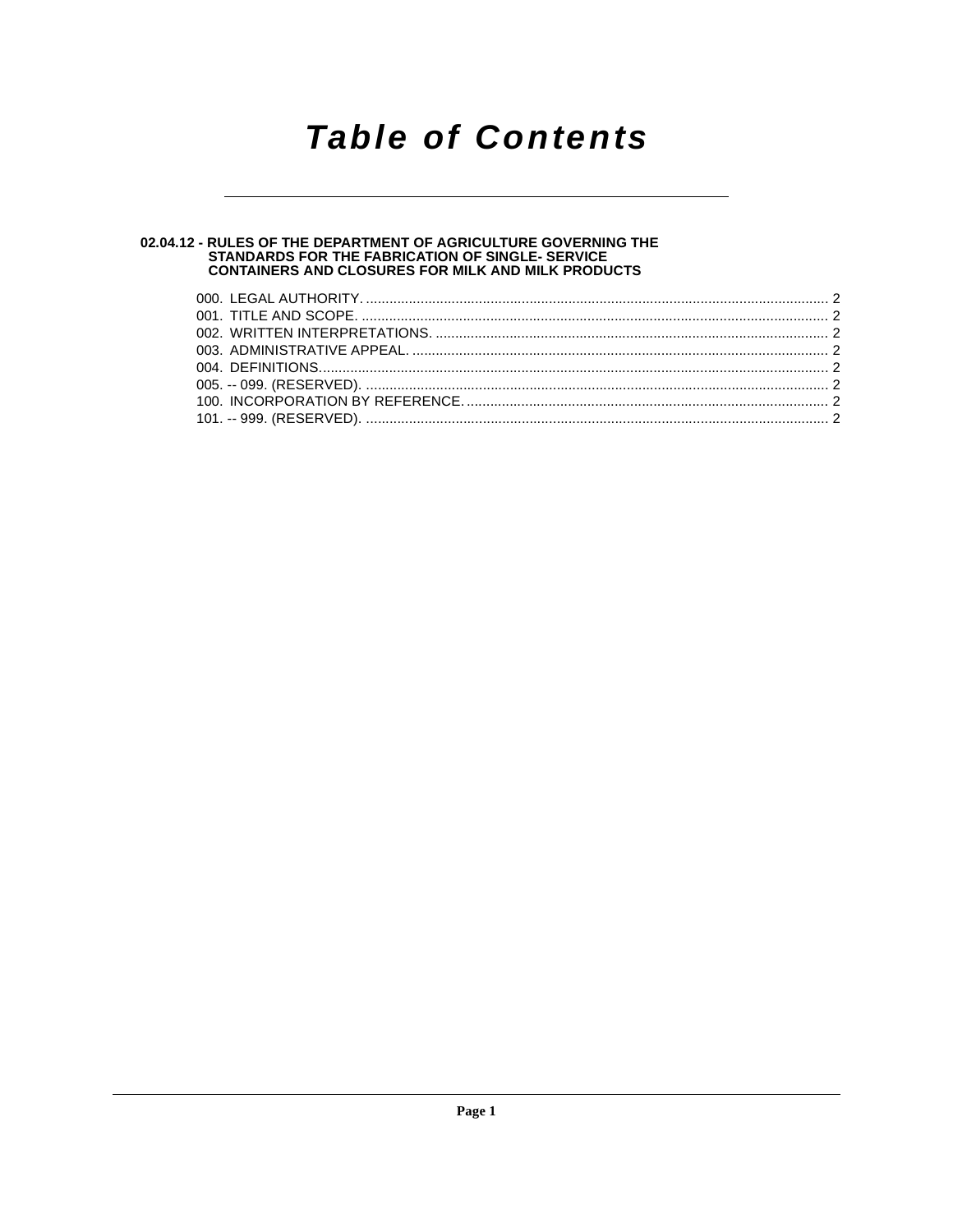### **Table of Contents**

# 02.04.12 - RULES OF THE DEPARTMENT OF AGRICULTURE GOVERNING THE<br>STANDARDS FOR THE FABRICATION OF SINGLE- SERVICE<br>CONTAINERS AND CLOSURES FOR MILK AND MILK PRODUCTS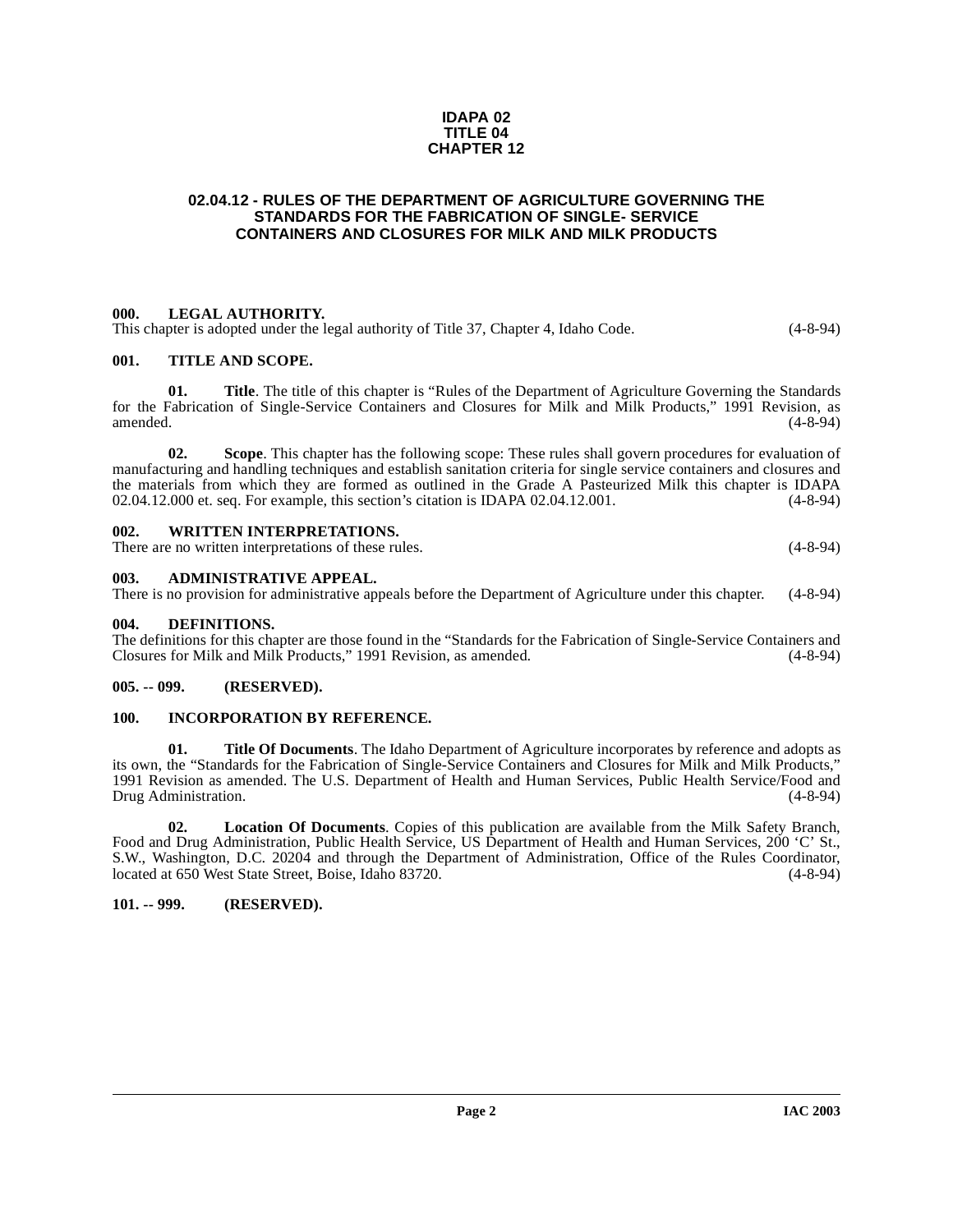#### **IDAPA 02 TITLE 04 CHAPTER 12**

#### <span id="page-1-0"></span>**02.04.12 - RULES OF THE DEPARTMENT OF AGRICULTURE GOVERNING THE STANDARDS FOR THE FABRICATION OF SINGLE- SERVICE CONTAINERS AND CLOSURES FOR MILK AND MILK PRODUCTS**

#### <span id="page-1-1"></span>**000. LEGAL AUTHORITY.**

This chapter is adopted under the legal authority of Title 37, Chapter 4, Idaho Code. (4-8-94)

#### <span id="page-1-2"></span>**001. TITLE AND SCOPE.**

**01.** Title. The title of this chapter is "Rules of the Department of Agriculture Governing the Standards for the Fabrication of Single-Service Containers and Closures for Milk and Milk Products," 1991 Revision, as amended. (4-8-94)

**02. Scope**. This chapter has the following scope: These rules shall govern procedures for evaluation of manufacturing and handling techniques and establish sanitation criteria for single service containers and closures and the materials from which they are formed as outlined in the Grade A Pasteurized Milk this chapter is IDAPA 02.04.12.000 et. seq. For example, this section's citation is IDAPA 02.04.12.001. (4-8-94)

<span id="page-1-3"></span>

| 002. | <b>WRITTEN INTERPRETATIONS.</b>                      |            |
|------|------------------------------------------------------|------------|
|      | There are no written interpretations of these rules. | $(4-8-94)$ |

#### <span id="page-1-4"></span>**003. ADMINISTRATIVE APPEAL.**

There is no provision for administrative appeals before the Department of Agriculture under this chapter. (4-8-94)

#### <span id="page-1-9"></span><span id="page-1-5"></span>**004. DEFINITIONS.**

The definitions for this chapter are those found in the "Standards for the Fabrication of Single-Service Containers and Closures for Milk and Milk Products," 1991 Revision, as amended. (4-8-94) Closures for Milk and Milk Products," 1991 Revision, as amended.

#### <span id="page-1-6"></span>**005. -- 099. (RESERVED).**

#### <span id="page-1-7"></span>**100. INCORPORATION BY REFERENCE.**

**01. Title Of Documents**. The Idaho Department of Agriculture incorporates by reference and adopts as its own, the "Standards for the Fabrication of Single-Service Containers and Closures for Milk and Milk Products," 1991 Revision as amended. The U.S. Department of Health and Human Services, Public Health Service/Food and Drug Administration. (4-8-94) Drug Administration.

**02. Location Of Documents**. Copies of this publication are available from the Milk Safety Branch, Food and Drug Administration, Public Health Service, US Department of Health and Human Services, 200 'C' St., S.W., Washington, D.C. 20204 and through the Department of Administration, Office of the Rules Coordinator, located at 650 West State Street, Boise, Idaho 83720. (4-8-94)

#### <span id="page-1-8"></span>**101. -- 999. (RESERVED).**